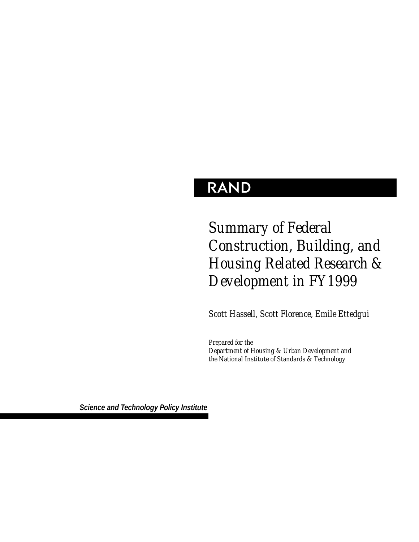# **RAND**

# *Summary of Federal Construction, Building, and Housing Related Research & Development in FY1999*

*Scott Hassell, Scott Florence, Emile Ettedgui*

*Prepared for the Department of Housing & Urban Development and the National Institute of Standards & Technology*

*Science and Technology Policy Institute*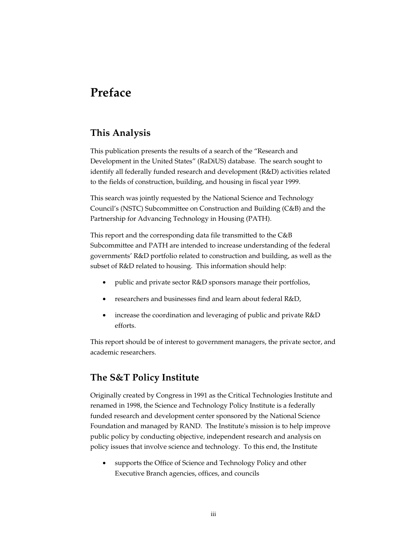# **Preface**

### **This Analysis**

This publication presents the results of a search of the "Research and Development in the United States" (RaDiUS) database. The search sought to identify all federally funded research and development (R&D) activities related to the fields of construction, building, and housing in fiscal year 1999.

This search was jointly requested by the National Science and Technology Council's (NSTC) Subcommittee on Construction and Building (C&B) and the Partnership for Advancing Technology in Housing (PATH).

This report and the corresponding data file transmitted to the C&B Subcommittee and PATH are intended to increase understanding of the federal governments' R&D portfolio related to construction and building, as well as the subset of R&D related to housing. This information should help:

- public and private sector R&D sponsors manage their portfolios,
- researchers and businesses find and learn about federal R&D,
- increase the coordination and leveraging of public and private R&D efforts.

This report should be of interest to government managers, the private sector, and academic researchers.

### **The S&T Policy Institute**

Originally created by Congress in 1991 as the Critical Technologies Institute and renamed in 1998, the Science and Technology Policy Institute is a federally funded research and development center sponsored by the National Science Foundation and managed by RAND. The Institute's mission is to help improve public policy by conducting objective, independent research and analysis on policy issues that involve science and technology. To this end, the Institute

• supports the Office of Science and Technology Policy and other Executive Branch agencies, offices, and councils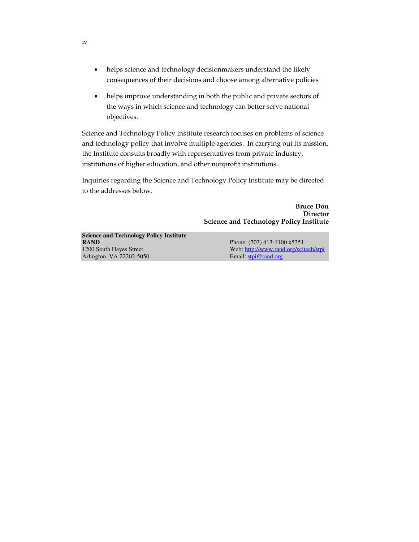- helps science and technology decisionmakers understand the likely consequences of their decisions and choose among alternative policies
- helps improve understanding in both the public and private sectors of the ways in which science and technology can better serve national objectives.

Science and Technology Policy Institute research focuses on problems of science and technology policy that involve multiple agencies. In carrying out its mission, the Institute consults broadly with representatives from private industry, institutions of higher education, and other nonprofit institutions.

Inquiries regarding the Science and Technology Policy Institute may be directed to the addresses below.

> **Bruce Don Director Science and Technology Policy Institute**

**Science and Technology Policy Institute RAND** Phone: (703) 413-1100 x5351 1200 South Hayes Street Web: http://www.rand.org/scitech/stpi Arlington, VA 22202-5050 Email: stpi@rand.org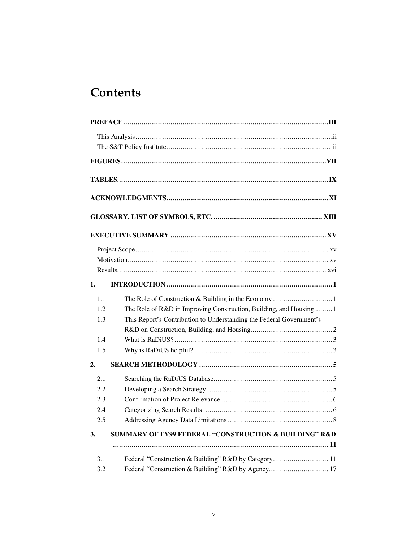# **Contents**

| 1.  |                                                                      |
|-----|----------------------------------------------------------------------|
| 1.1 |                                                                      |
| 1.2 | The Role of R&D in Improving Construction, Building, and Housing 1   |
| 1.3 | This Report's Contribution to Understanding the Federal Government's |
|     |                                                                      |
| 1.4 |                                                                      |
| 1.5 |                                                                      |
| 2.  |                                                                      |
| 2.1 |                                                                      |
| 2.2 |                                                                      |
| 2.3 |                                                                      |
| 2.4 |                                                                      |
| 2.5 |                                                                      |
| 3.  | <b>SUMMARY OF FY99 FEDERAL "CONSTRUCTION &amp; BUILDING" R&amp;D</b> |
|     |                                                                      |
| 3.1 | Federal "Construction & Building" R&D by Category 11                 |
| 3.2 | Federal "Construction & Building" R&D by Agency 17                   |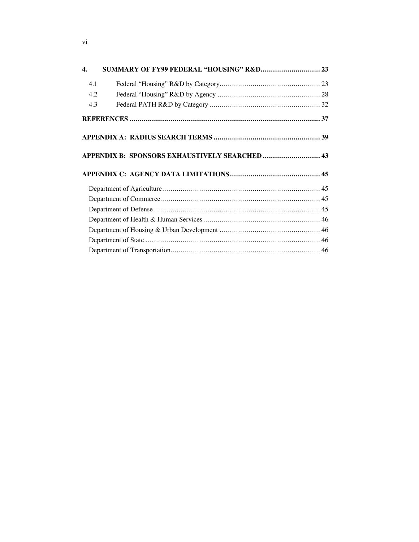| $\overline{4}$ . | SUMMARY OF FY99 FEDERAL "HOUSING" R&D 23       |  |
|------------------|------------------------------------------------|--|
| 4.1              |                                                |  |
| 4.2              |                                                |  |
| 4.3              |                                                |  |
|                  |                                                |  |
|                  |                                                |  |
|                  | APPENDIX B: SPONSORS EXHAUSTIVELY SEARCHED  43 |  |
|                  |                                                |  |
|                  |                                                |  |
|                  |                                                |  |
|                  |                                                |  |
|                  |                                                |  |
|                  |                                                |  |
|                  |                                                |  |
|                  |                                                |  |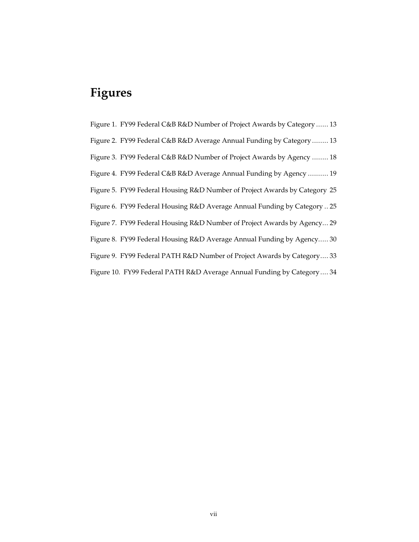# **Figures**

Figure 1. FY99 Federal C&B R&D Number of Project Awards by Category ...... 13 Figure 2. FY99 Federal C&B R&D Average Annual Funding by Category ........ 13 Figure 3. FY99 Federal C&B R&D Number of Project Awards by Agency ........ 18 Figure 4. FY99 Federal C&B R&D Average Annual Funding by Agency .......... 19 Figure 5. FY99 Federal Housing R&D Number of Project Awards by Category 25 Figure 6. FY99 Federal Housing R&D Average Annual Funding by Category .. 25 Figure 7. FY99 Federal Housing R&D Number of Project Awards by Agency... 29 Figure 8. FY99 Federal Housing R&D Average Annual Funding by Agency..... 30 Figure 9. FY99 Federal PATH R&D Number of Project Awards by Category.... 33 Figure 10. FY99 Federal PATH R&D Average Annual Funding by Category.... 34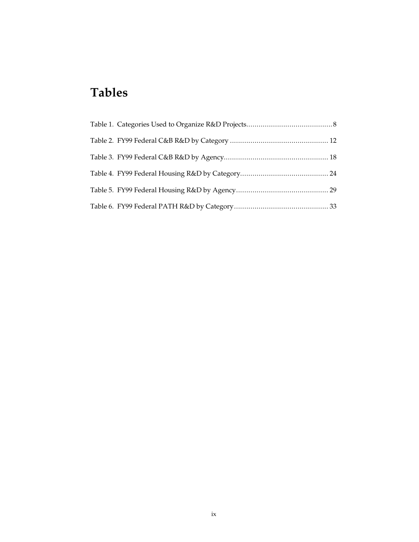# **Tables**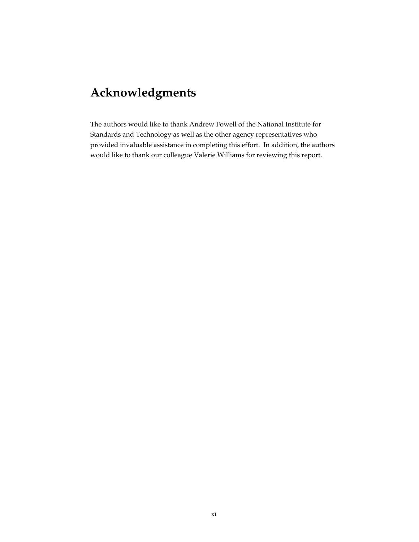# **Acknowledgments**

The authors would like to thank Andrew Fowell of the National Institute for Standards and Technology as well as the other agency representatives who provided invaluable assistance in completing this effort. In addition, the authors would like to thank our colleague Valerie Williams for reviewing this report.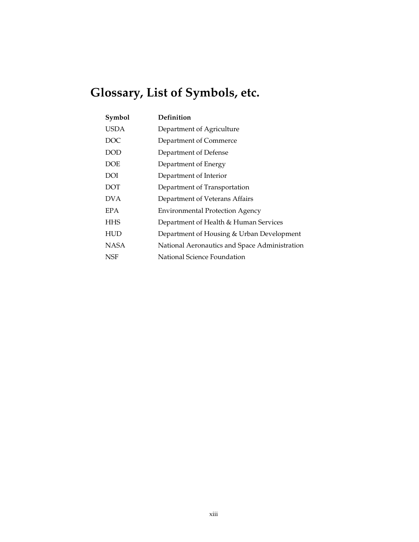# **Glossary, List of Symbols, etc.**

| Symbol     | Definition                                    |
|------------|-----------------------------------------------|
| USDA       | Department of Agriculture                     |
| DOC        | Department of Commerce                        |
| DOD        | Department of Defense                         |
| DOE        | Department of Energy                          |
| DOI        | Department of Interior                        |
| <b>DOT</b> | Department of Transportation                  |
| DV A       | Department of Veterans Affairs                |
| EPA        | <b>Environmental Protection Agency</b>        |
| HHS        | Department of Health & Human Services         |
| HUD        | Department of Housing & Urban Development     |
| NASA       | National Aeronautics and Space Administration |
| NSF        | National Science Foundation                   |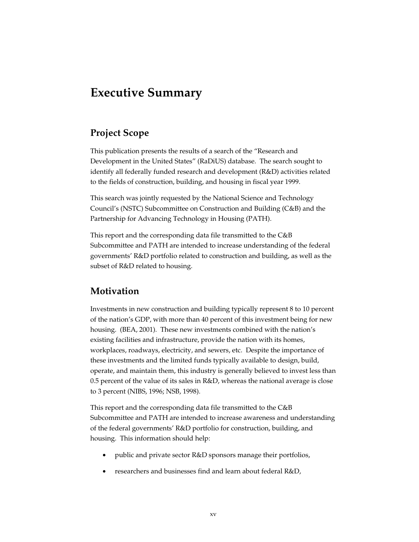## **Executive Summary**

### **Project Scope**

This publication presents the results of a search of the "Research and Development in the United States" (RaDiUS) database. The search sought to identify all federally funded research and development (R&D) activities related to the fields of construction, building, and housing in fiscal year 1999.

This search was jointly requested by the National Science and Technology Council's (NSTC) Subcommittee on Construction and Building (C&B) and the Partnership for Advancing Technology in Housing (PATH).

This report and the corresponding data file transmitted to the C&B Subcommittee and PATH are intended to increase understanding of the federal governments' R&D portfolio related to construction and building, as well as the subset of R&D related to housing.

### **Motivation**

Investments in new construction and building typically represent 8 to 10 percent of the nation's GDP, with more than 40 percent of this investment being for new housing. (BEA, 2001). These new investments combined with the nation's existing facilities and infrastructure, provide the nation with its homes, workplaces, roadways, electricity, and sewers, etc. Despite the importance of these investments and the limited funds typically available to design, build, operate, and maintain them, this industry is generally believed to invest less than 0.5 percent of the value of its sales in R&D, whereas the national average is close to 3 percent (NIBS, 1996; NSB, 1998).

This report and the corresponding data file transmitted to the C&B Subcommittee and PATH are intended to increase awareness and understanding of the federal governments' R&D portfolio for construction, building, and housing. This information should help:

- public and private sector R&D sponsors manage their portfolios,
- researchers and businesses find and learn about federal R&D,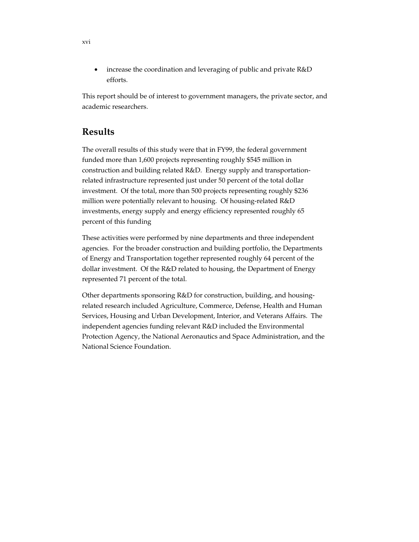• increase the coordination and leveraging of public and private R&D efforts.

This report should be of interest to government managers, the private sector, and academic researchers.

### **Results**

The overall results of this study were that in FY99, the federal government funded more than 1,600 projects representing roughly \$545 million in construction and building related R&D. Energy supply and transportationrelated infrastructure represented just under 50 percent of the total dollar investment. Of the total, more than 500 projects representing roughly \$236 million were potentially relevant to housing. Of housing-related R&D investments, energy supply and energy efficiency represented roughly 65 percent of this funding

These activities were performed by nine departments and three independent agencies. For the broader construction and building portfolio, the Departments of Energy and Transportation together represented roughly 64 percent of the dollar investment. Of the R&D related to housing, the Department of Energy represented 71 percent of the total.

Other departments sponsoring R&D for construction, building, and housingrelated research included Agriculture, Commerce, Defense, Health and Human Services, Housing and Urban Development, Interior, and Veterans Affairs. The independent agencies funding relevant R&D included the Environmental Protection Agency, the National Aeronautics and Space Administration, and the National Science Foundation.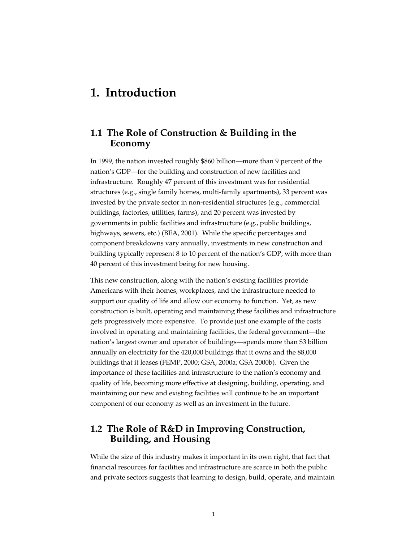## **1. Introduction**

### **1.1 The Role of Construction & Building in the Economy**

In 1999, the nation invested roughly \$860 billion—more than 9 percent of the nation's GDP—for the building and construction of new facilities and infrastructure. Roughly 47 percent of this investment was for residential structures (e.g., single family homes, multi-family apartments), 33 percent was invested by the private sector in non-residential structures (e.g., commercial buildings, factories, utilities, farms), and 20 percent was invested by governments in public facilities and infrastructure (e.g., public buildings, highways, sewers, etc.) (BEA, 2001). While the specific percentages and component breakdowns vary annually, investments in new construction and building typically represent 8 to 10 percent of the nation's GDP, with more than 40 percent of this investment being for new housing.

This new construction, along with the nation's existing facilities provide Americans with their homes, workplaces, and the infrastructure needed to support our quality of life and allow our economy to function. Yet, as new construction is built, operating and maintaining these facilities and infrastructure gets progressively more expensive. To provide just one example of the costs involved in operating and maintaining facilities, the federal government—the nation's largest owner and operator of buildings—spends more than \$3 billion annually on electricity for the 420,000 buildings that it owns and the 88,000 buildings that it leases (FEMP, 2000; GSA, 2000a; GSA 2000b). Given the importance of these facilities and infrastructure to the nation's economy and quality of life, becoming more effective at designing, building, operating, and maintaining our new and existing facilities will continue to be an important component of our economy as well as an investment in the future.

### **1.2 The Role of R&D in Improving Construction, Building, and Housing**

While the size of this industry makes it important in its own right, that fact that financial resources for facilities and infrastructure are scarce in both the public and private sectors suggests that learning to design, build, operate, and maintain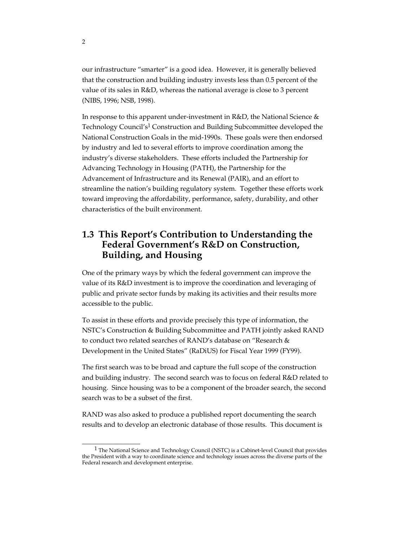our infrastructure "smarter" is a good idea. However, it is generally believed that the construction and building industry invests less than 0.5 percent of the value of its sales in R&D, whereas the national average is close to 3 percent (NIBS, 1996; NSB, 1998).

In response to this apparent under-investment in R&D, the National Science & Technology Council's<sup>1</sup> Construction and Building Subcommittee developed the National Construction Goals in the mid-1990s. These goals were then endorsed by industry and led to several efforts to improve coordination among the industry's diverse stakeholders. These efforts included the Partnership for Advancing Technology in Housing (PATH), the Partnership for the Advancement of Infrastructure and its Renewal (PAIR), and an effort to streamline the nation's building regulatory system. Together these efforts work toward improving the affordability, performance, safety, durability, and other characteristics of the built environment.

### **1.3 This Report's Contribution to Understanding the Federal Government's R&D on Construction, Building, and Housing**

One of the primary ways by which the federal government can improve the value of its R&D investment is to improve the coordination and leveraging of public and private sector funds by making its activities and their results more accessible to the public.

To assist in these efforts and provide precisely this type of information, the NSTC's Construction & Building Subcommittee and PATH jointly asked RAND to conduct two related searches of RAND's database on "Research & Development in the United States" (RaDiUS) for Fiscal Year 1999 (FY99).

The first search was to be broad and capture the full scope of the construction and building industry. The second search was to focus on federal R&D related to housing. Since housing was to be a component of the broader search, the second search was to be a subset of the first.

RAND was also asked to produce a published report documenting the search results and to develop an electronic database of those results. This document is

 $\overline{\phantom{a}}$  , where the contract of the contract of  $\overline{\phantom{a}}$ 

<sup>&</sup>lt;sup>1</sup> The National Science and Technology Council (NSTC) is a Cabinet-level Council that provides the President with a way to coordinate science and technology issues across the diverse parts of the Federal research and development enterprise.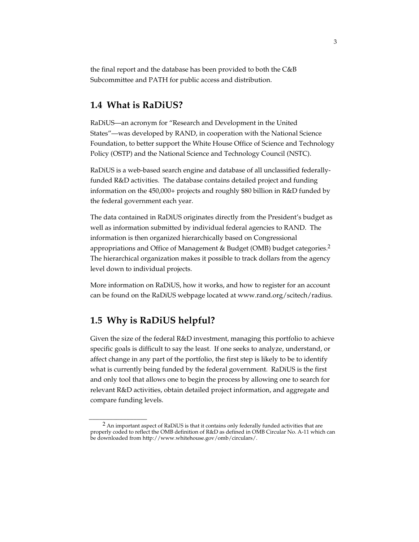the final report and the database has been provided to both the C&B Subcommittee and PATH for public access and distribution.

### **1.4 What is RaDiUS?**

RaDiUS—an acronym for "Research and Development in the United States"—was developed by RAND, in cooperation with the National Science Foundation, to better support the White House Office of Science and Technology Policy (OSTP) and the National Science and Technology Council (NSTC).

RaDiUS is a web-based search engine and database of all unclassified federallyfunded R&D activities. The database contains detailed project and funding information on the 450,000+ projects and roughly \$80 billion in R&D funded by the federal government each year.

The data contained in RaDiUS originates directly from the President's budget as well as information submitted by individual federal agencies to RAND. The information is then organized hierarchically based on Congressional appropriations and Office of Management & Budget (OMB) budget categories.<sup>2</sup> The hierarchical organization makes it possible to track dollars from the agency level down to individual projects.

More information on RaDiUS, how it works, and how to register for an account can be found on the RaDiUS webpage located at www.rand.org/scitech/radius.

### **1.5 Why is RaDiUS helpful?**

 $\overline{\phantom{a}}$  , where the contract of the contract of the contract of the contract of the contract of the contract of the contract of the contract of the contract of the contract of the contract of the contract of the contr

Given the size of the federal R&D investment, managing this portfolio to achieve specific goals is difficult to say the least. If one seeks to analyze, understand, or affect change in any part of the portfolio, the first step is likely to be to identify what is currently being funded by the federal government. RaDiUS is the first and only tool that allows one to begin the process by allowing one to search for relevant R&D activities, obtain detailed project information, and aggregate and compare funding levels.

<sup>&</sup>lt;sup>2</sup> An important aspect of RaDiUS is that it contains only federally funded activities that are properly coded to reflect the OMB definition of R&D as defined in OMB Circular No. A-11 which can be downloaded from http://www.whitehouse.gov/omb/circulars/.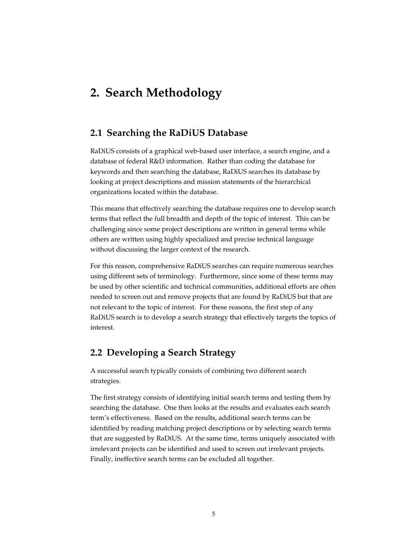# **2. Search Methodology**

### **2.1 Searching the RaDiUS Database**

RaDiUS consists of a graphical web-based user interface, a search engine, and a database of federal R&D information. Rather than coding the database for keywords and then searching the database, RaDiUS searches its database by looking at project descriptions and mission statements of the hierarchical organizations located within the database.

This means that effectively searching the database requires one to develop search terms that reflect the full breadth and depth of the topic of interest. This can be challenging since some project descriptions are written in general terms while others are written using highly specialized and precise technical language without discussing the larger context of the research.

For this reason, comprehensive RaDiUS searches can require numerous searches using different sets of terminology. Furthermore, since some of these terms may be used by other scientific and technical communities, additional efforts are often needed to screen out and remove projects that are found by RaDiUS but that are not relevant to the topic of interest. For these reasons, the first step of any RaDiUS search is to develop a search strategy that effectively targets the topics of interest.

### **2.2 Developing a Search Strategy**

A successful search typically consists of combining two different search strategies.

The first strategy consists of identifying initial search terms and testing them by searching the database. One then looks at the results and evaluates each search term's effectiveness. Based on the results, additional search terms can be identified by reading matching project descriptions or by selecting search terms that are suggested by RaDiUS. At the same time, terms uniquely associated with irrelevant projects can be identified and used to screen out irrelevant projects. Finally, ineffective search terms can be excluded all together.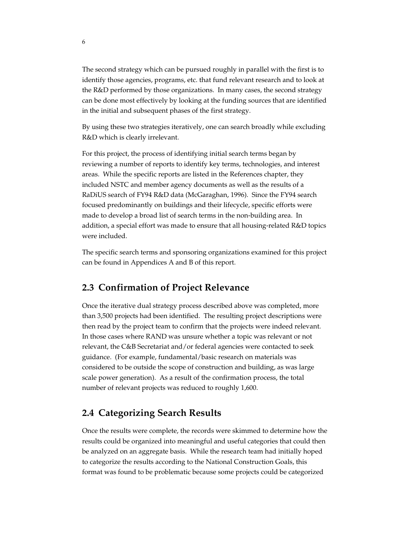The second strategy which can be pursued roughly in parallel with the first is to identify those agencies, programs, etc. that fund relevant research and to look at the R&D performed by those organizations. In many cases, the second strategy can be done most effectively by looking at the funding sources that are identified in the initial and subsequent phases of the first strategy.

By using these two strategies iteratively, one can search broadly while excluding R&D which is clearly irrelevant.

For this project, the process of identifying initial search terms began by reviewing a number of reports to identify key terms, technologies, and interest areas. While the specific reports are listed in the References chapter, they included NSTC and member agency documents as well as the results of a RaDiUS search of FY94 R&D data (McGaraghan, 1996). Since the FY94 search focused predominantly on buildings and their lifecycle, specific efforts were made to develop a broad list of search terms in the non-building area. In addition, a special effort was made to ensure that all housing-related R&D topics were included.

The specific search terms and sponsoring organizations examined for this project can be found in Appendices A and B of this report.

### **2.3 Confirmation of Project Relevance**

Once the iterative dual strategy process described above was completed, more than 3,500 projects had been identified. The resulting project descriptions were then read by the project team to confirm that the projects were indeed relevant. In those cases where RAND was unsure whether a topic was relevant or not relevant, the C&B Secretariat and/or federal agencies were contacted to seek guidance. (For example, fundamental/basic research on materials was considered to be outside the scope of construction and building, as was large scale power generation). As a result of the confirmation process, the total number of relevant projects was reduced to roughly 1,600.

### **2.4 Categorizing Search Results**

Once the results were complete, the records were skimmed to determine how the results could be organized into meaningful and useful categories that could then be analyzed on an aggregate basis. While the research team had initially hoped to categorize the results according to the National Construction Goals, this format was found to be problematic because some projects could be categorized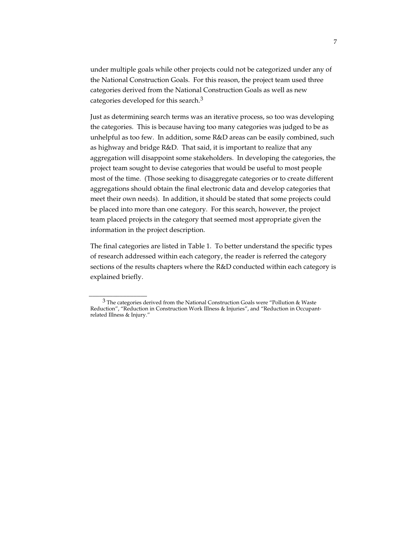under multiple goals while other projects could not be categorized under any of the National Construction Goals. For this reason, the project team used three categories derived from the National Construction Goals as well as new categories developed for this search.<sup>3</sup>

Just as determining search terms was an iterative process, so too was developing the categories. This is because having too many categories was judged to be as unhelpful as too few. In addition, some R&D areas can be easily combined, such as highway and bridge R&D. That said, it is important to realize that any aggregation will disappoint some stakeholders. In developing the categories, the project team sought to devise categories that would be useful to most people most of the time. (Those seeking to disaggregate categories or to create different aggregations should obtain the final electronic data and develop categories that meet their own needs). In addition, it should be stated that some projects could be placed into more than one category. For this search, however, the project team placed projects in the category that seemed most appropriate given the information in the project description.

The final categories are listed in Table 1. To better understand the specific types of research addressed within each category, the reader is referred the category sections of the results chapters where the R&D conducted within each category is explained briefly.

 $\overline{\phantom{a}}$  , where the contract of the contract of the contract of the contract of the contract of the contract of the contract of the contract of the contract of the contract of the contract of the contract of the contr

<sup>3</sup> The categories derived from the National Construction Goals were "Pollution & Waste Reduction", "Reduction in Construction Work Illness & Injuries", and "Reduction in Occupantrelated Illness & Injury."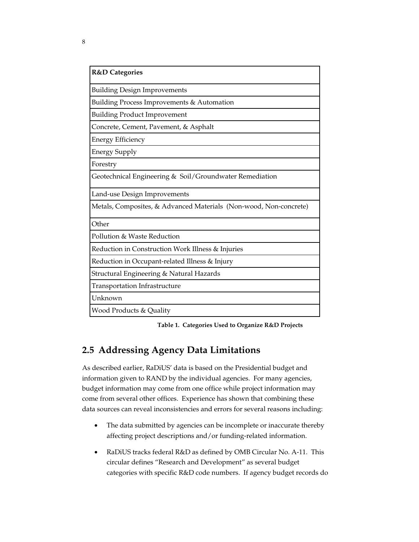| <b>R&amp;D</b> Categories                                         |
|-------------------------------------------------------------------|
| <b>Building Design Improvements</b>                               |
| Building Process Improvements & Automation                        |
| <b>Building Product Improvement</b>                               |
| Concrete, Cement, Pavement, & Asphalt                             |
| <b>Energy Efficiency</b>                                          |
| <b>Energy Supply</b>                                              |
| Forestry                                                          |
| Geotechnical Engineering & Soil/Groundwater Remediation           |
| Land-use Design Improvements                                      |
| Metals, Composites, & Advanced Materials (Non-wood, Non-concrete) |
| Other                                                             |
| Pollution & Waste Reduction                                       |
| Reduction in Construction Work Illness & Injuries                 |
| Reduction in Occupant-related Illness & Injury                    |
| Structural Engineering & Natural Hazards                          |
| Transportation Infrastructure                                     |
| Unknown                                                           |
| Wood Products & Quality                                           |

**Table 1. Categories Used to Organize R&D Projects**

### **2.5 Addressing Agency Data Limitations**

As described earlier, RaDiUS' data is based on the Presidential budget and information given to RAND by the individual agencies. For many agencies, budget information may come from one office while project information may come from several other offices. Experience has shown that combining these data sources can reveal inconsistencies and errors for several reasons including:

- The data submitted by agencies can be incomplete or inaccurate thereby affecting project descriptions and/or funding-related information.
- RaDiUS tracks federal R&D as defined by OMB Circular No. A-11. This circular defines "Research and Development" as several budget categories with specific R&D code numbers. If agency budget records do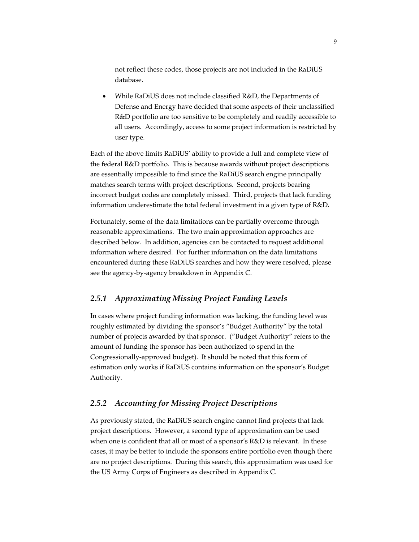not reflect these codes, those projects are not included in the RaDiUS database.

• While RaDiUS does not include classified R&D, the Departments of Defense and Energy have decided that some aspects of their unclassified R&D portfolio are too sensitive to be completely and readily accessible to all users. Accordingly, access to some project information is restricted by user type.

Each of the above limits RaDiUS' ability to provide a full and complete view of the federal R&D portfolio. This is because awards without project descriptions are essentially impossible to find since the RaDiUS search engine principally matches search terms with project descriptions. Second, projects bearing incorrect budget codes are completely missed. Third, projects that lack funding information underestimate the total federal investment in a given type of R&D.

Fortunately, some of the data limitations can be partially overcome through reasonable approximations. The two main approximation approaches are described below. In addition, agencies can be contacted to request additional information where desired. For further information on the data limitations encountered during these RaDiUS searches and how they were resolved, please see the agency-by-agency breakdown in Appendix C.

### *2.5.1 Approximating Missing Project Funding Levels*

In cases where project funding information was lacking, the funding level was roughly estimated by dividing the sponsor's "Budget Authority" by the total number of projects awarded by that sponsor. ("Budget Authority" refers to the amount of funding the sponsor has been authorized to spend in the Congressionally-approved budget). It should be noted that this form of estimation only works if RaDiUS contains information on the sponsor's Budget Authority.

### *2.5.2 Accounting for Missing Project Descriptions*

As previously stated, the RaDiUS search engine cannot find projects that lack project descriptions. However, a second type of approximation can be used when one is confident that all or most of a sponsor's R&D is relevant. In these cases, it may be better to include the sponsors entire portfolio even though there are no project descriptions. During this search, this approximation was used for the US Army Corps of Engineers as described in Appendix C.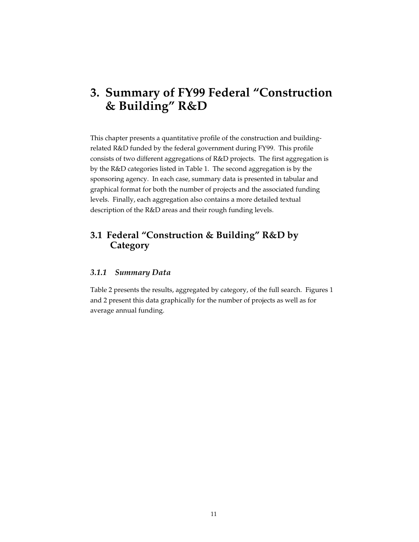# **3. Summary of FY99 Federal "Construction & Building" R&D**

This chapter presents a quantitative profile of the construction and buildingrelated R&D funded by the federal government during FY99. This profile consists of two different aggregations of R&D projects. The first aggregation is by the R&D categories listed in Table 1. The second aggregation is by the sponsoring agency. In each case, summary data is presented in tabular and graphical format for both the number of projects and the associated funding levels. Finally, each aggregation also contains a more detailed textual description of the R&D areas and their rough funding levels.

### **3.1 Federal "Construction & Building" R&D by Category**

### *3.1.1 Summary Data*

Table 2 presents the results, aggregated by category, of the full search. Figures 1 and 2 present this data graphically for the number of projects as well as for average annual funding.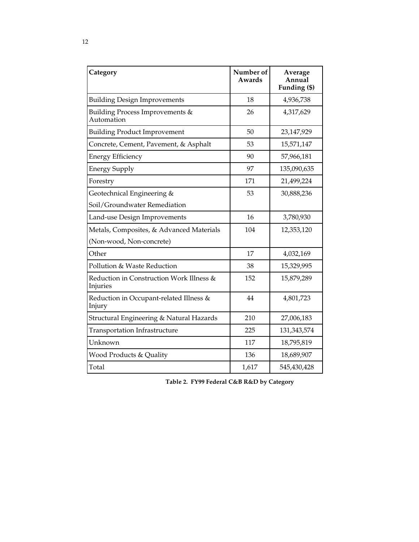| Category                                             | Number of<br>Awards | Average<br>Annual<br>Funding (\$) |
|------------------------------------------------------|---------------------|-----------------------------------|
| <b>Building Design Improvements</b>                  | 18                  | 4,936,738                         |
| Building Process Improvements &<br>Automation        | 26                  | 4,317,629                         |
| <b>Building Product Improvement</b>                  | 50                  | 23,147,929                        |
| Concrete, Cement, Pavement, & Asphalt                | 53                  | 15,571,147                        |
| <b>Energy Efficiency</b>                             | 90                  | 57,966,181                        |
| <b>Energy Supply</b>                                 | 97                  | 135,090,635                       |
| Forestry                                             | 171                 | 21,499,224                        |
| Geotechnical Engineering &                           | 53                  | 30,888,236                        |
| Soil/Groundwater Remediation                         |                     |                                   |
| Land-use Design Improvements                         | 16                  | 3,780,930                         |
| Metals, Composites, & Advanced Materials             | 104                 | 12,353,120                        |
| (Non-wood, Non-concrete)                             |                     |                                   |
| Other                                                | 17                  | 4,032,169                         |
| Pollution & Waste Reduction                          | 38                  | 15,329,995                        |
| Reduction in Construction Work Illness &<br>Injuries | 152                 | 15,879,289                        |
| Reduction in Occupant-related Illness &<br>Injury    | 44                  | 4,801,723                         |
| Structural Engineering & Natural Hazards             | 210                 | 27,006,183                        |
| Transportation Infrastructure                        | 225                 | 131, 343, 574                     |
| Unknown                                              | 117                 | 18,795,819                        |
| Wood Products & Quality                              | 136                 | 18,689,907                        |
| Total                                                | 1,617               | 545,430,428                       |

**Table 2. FY99 Federal C&B R&D by Category**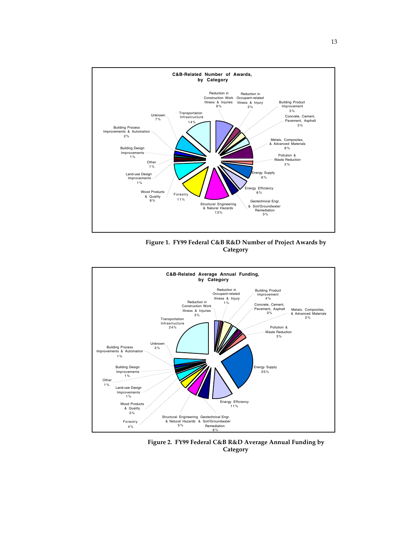

**Figure 1. FY99 Federal C&B R&D Number of Project Awards by Category**



**Figure 2. FY99 Federal C&B R&D Average Annual Funding by Category**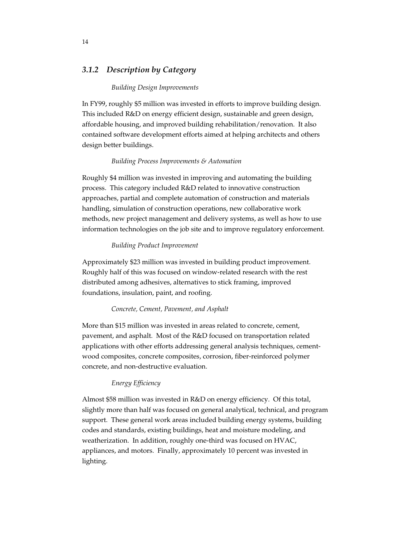### *3.1.2 Description by Category*

#### *Building Design Improvements*

In FY99, roughly \$5 million was invested in efforts to improve building design. This included R&D on energy efficient design, sustainable and green design, affordable housing, and improved building rehabilitation/renovation. It also contained software development efforts aimed at helping architects and others design better buildings.

#### *Building Process Improvements & Automation*

Roughly \$4 million was invested in improving and automating the building process. This category included R&D related to innovative construction approaches, partial and complete automation of construction and materials handling, simulation of construction operations, new collaborative work methods, new project management and delivery systems, as well as how to use information technologies on the job site and to improve regulatory enforcement.

#### *Building Product Improvement*

Approximately \$23 million was invested in building product improvement. Roughly half of this was focused on window-related research with the rest distributed among adhesives, alternatives to stick framing, improved foundations, insulation, paint, and roofing.

#### *Concrete, Cement, Pavement, and Asphalt*

More than \$15 million was invested in areas related to concrete, cement, pavement, and asphalt. Most of the R&D focused on transportation related applications with other efforts addressing general analysis techniques, cementwood composites, concrete composites, corrosion, fiber-reinforced polymer concrete, and non-destructive evaluation.

#### *Energy Efficiency*

Almost \$58 million was invested in R&D on energy efficiency. Of this total, slightly more than half was focused on general analytical, technical, and program support. These general work areas included building energy systems, building codes and standards, existing buildings, heat and moisture modeling, and weatherization. In addition, roughly one-third was focused on HVAC, appliances, and motors. Finally, approximately 10 percent was invested in lighting.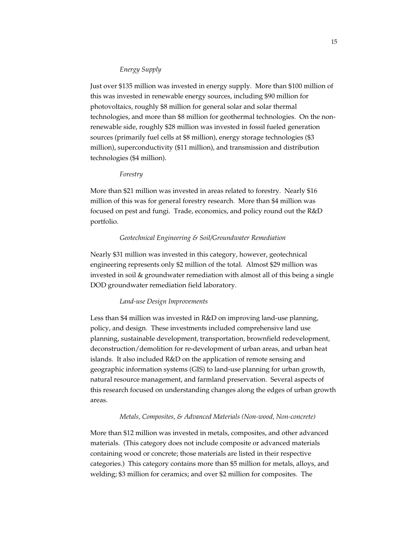### *Energy Supply*

Just over \$135 million was invested in energy supply. More than \$100 million of this was invested in renewable energy sources, including \$90 million for photovoltaics, roughly \$8 million for general solar and solar thermal technologies, and more than \$8 million for geothermal technologies. On the nonrenewable side, roughly \$28 million was invested in fossil fueled generation sources (primarily fuel cells at \$8 million), energy storage technologies (\$3 million), superconductivity (\$11 million), and transmission and distribution technologies (\$4 million).

#### *Forestry*

More than \$21 million was invested in areas related to forestry. Nearly \$16 million of this was for general forestry research. More than \$4 million was focused on pest and fungi. Trade, economics, and policy round out the R&D portfolio.

#### *Geotechnical Engineering & Soil/Groundwater Remediation*

Nearly \$31 million was invested in this category, however, geotechnical engineering represents only \$2 million of the total. Almost \$29 million was invested in soil & groundwater remediation with almost all of this being a single DOD groundwater remediation field laboratory.

#### *Land-use Design Improvements*

Less than \$4 million was invested in R&D on improving land-use planning, policy, and design. These investments included comprehensive land use planning, sustainable development, transportation, brownfield redevelopment, deconstruction/demolition for re-development of urban areas, and urban heat islands. It also included R&D on the application of remote sensing and geographic information systems (GIS) to land-use planning for urban growth, natural resource management, and farmland preservation. Several aspects of this research focused on understanding changes along the edges of urban growth areas.

### *Metals, Composites, & Advanced Materials (Non-wood, Non-concrete)*

More than \$12 million was invested in metals, composites, and other advanced materials. (This category does not include composite or advanced materials containing wood or concrete; those materials are listed in their respective categories.) This category contains more than \$5 million for metals, alloys, and welding; \$3 million for ceramics; and over \$2 million for composites. The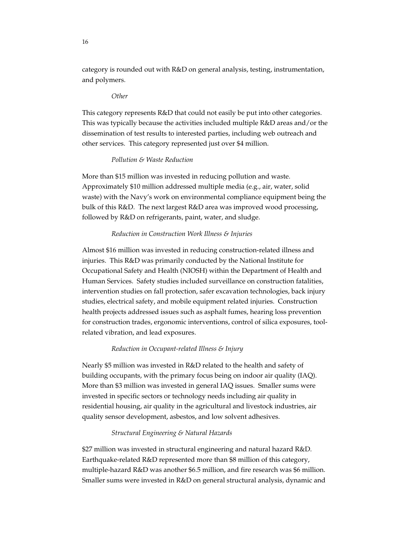category is rounded out with R&D on general analysis, testing, instrumentation, and polymers.

#### *Other*

This category represents R&D that could not easily be put into other categories. This was typically because the activities included multiple  $R&D$  areas and/or the dissemination of test results to interested parties, including web outreach and other services. This category represented just over \$4 million.

### *Pollution & Waste Reduction*

More than \$15 million was invested in reducing pollution and waste. Approximately \$10 million addressed multiple media (e.g., air, water, solid waste) with the Navy's work on environmental compliance equipment being the bulk of this R&D. The next largest R&D area was improved wood processing, followed by R&D on refrigerants, paint, water, and sludge.

#### *Reduction in Construction Work Illness & Injuries*

Almost \$16 million was invested in reducing construction-related illness and injuries. This R&D was primarily conducted by the National Institute for Occupational Safety and Health (NIOSH) within the Department of Health and Human Services. Safety studies included surveillance on construction fatalities, intervention studies on fall protection, safer excavation technologies, back injury studies, electrical safety, and mobile equipment related injuries. Construction health projects addressed issues such as asphalt fumes, hearing loss prevention for construction trades, ergonomic interventions, control of silica exposures, toolrelated vibration, and lead exposures.

### *Reduction in Occupant-related Illness & Injury*

Nearly \$5 million was invested in R&D related to the health and safety of building occupants, with the primary focus being on indoor air quality (IAQ). More than \$3 million was invested in general IAQ issues. Smaller sums were invested in specific sectors or technology needs including air quality in residential housing, air quality in the agricultural and livestock industries, air quality sensor development, asbestos, and low solvent adhesives.

### *Structural Engineering & Natural Hazards*

\$27 million was invested in structural engineering and natural hazard R&D. Earthquake-related R&D represented more than \$8 million of this category, multiple-hazard R&D was another \$6.5 million, and fire research was \$6 million. Smaller sums were invested in R&D on general structural analysis, dynamic and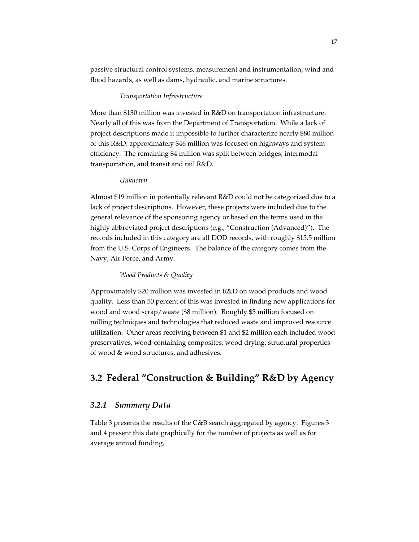passive structural control systems, measurement and instrumentation, wind and flood hazards, as well as dams, hydraulic, and marine structures.

### *Transportation Infrastructure*

More than \$130 million was invested in R&D on transportation infrastructure. Nearly all of this was from the Department of Transportation. While a lack of project descriptions made it impossible to further characterize nearly \$80 million of this R&D, approximately \$46 million was focused on highways and system efficiency. The remaining \$4 million was split between bridges, intermodal transportation, and transit and rail R&D.

#### *Unknown*

Almost \$19 million in potentially relevant R&D could not be categorized due to a lack of project descriptions. However, these projects were included due to the general relevance of the sponsoring agency or based on the terms used in the highly abbreviated project descriptions (e.g., "Construction (Advanced)"). The records included in this category are all DOD records, with roughly \$15.5 million from the U.S. Corps of Engineers. The balance of the category comes from the Navy, Air Force, and Army.

### *Wood Products & Quality*

Approximately \$20 million was invested in R&D on wood products and wood quality. Less than 50 percent of this was invested in finding new applications for wood and wood scrap/waste (\$8 million). Roughly \$3 million focused on milling techniques and technologies that reduced waste and improved resource utilization. Other areas receiving between \$1 and \$2 million each included wood preservatives, wood-containing composites, wood drying, structural properties of wood & wood structures, and adhesives.

### **3.2 Federal "Construction & Building" R&D by Agency**

### *3.2.1 Summary Data*

Table 3 presents the results of the C&B search aggregated by agency. Figures 3 and 4 present this data graphically for the number of projects as well as for average annual funding.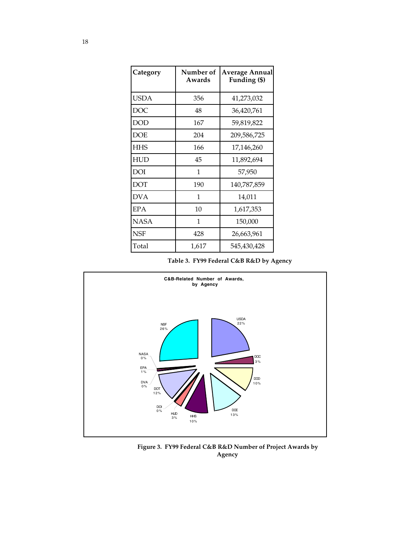| Category   | Number of<br>Awards | Average Annual<br>Funding (\$) |  |  |
|------------|---------------------|--------------------------------|--|--|
| USDA       | 356                 | 41,273,032                     |  |  |
| <b>DOC</b> | 48                  | 36,420,761                     |  |  |
| <b>DOD</b> | 167                 | 59,819,822                     |  |  |
| <b>DOE</b> | 204                 | 209,586,725                    |  |  |
| <b>HHS</b> | 166                 | 17,146,260                     |  |  |
| HUD        | 45                  | 11,892,694                     |  |  |
| DOI        | 1                   | 57,950                         |  |  |
| <b>DOT</b> | 190                 | 140,787,859                    |  |  |
| <b>DVA</b> | 1                   | 14,011                         |  |  |
| <b>EPA</b> | 10                  | 1,617,353                      |  |  |
| NASA       | 1                   | 150,000                        |  |  |
| NSF        | 428                 | 26,663,961                     |  |  |
| Total      | 1,617               | 545,430,428                    |  |  |

**Table 3. FY99 Federal C&B R&D by Agency**



**Figure 3. FY99 Federal C&B R&D Number of Project Awards by Agency**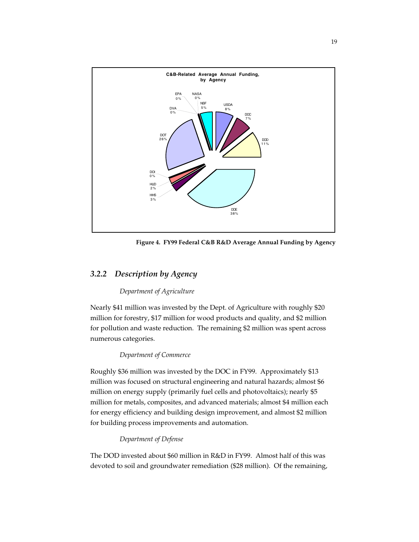

**Figure 4. FY99 Federal C&B R&D Average Annual Funding by Agency**

### *3.2.2 Description by Agency*

### *Department of Agriculture*

Nearly \$41 million was invested by the Dept. of Agriculture with roughly \$20 million for forestry, \$17 million for wood products and quality, and \$2 million for pollution and waste reduction. The remaining \$2 million was spent across numerous categories.

### *Department of Commerce*

Roughly \$36 million was invested by the DOC in FY99. Approximately \$13 million was focused on structural engineering and natural hazards; almost \$6 million on energy supply (primarily fuel cells and photovoltaics); nearly \$5 million for metals, composites, and advanced materials; almost \$4 million each for energy efficiency and building design improvement, and almost \$2 million for building process improvements and automation.

### *Department of Defense*

The DOD invested about \$60 million in R&D in FY99. Almost half of this was devoted to soil and groundwater remediation (\$28 million). Of the remaining,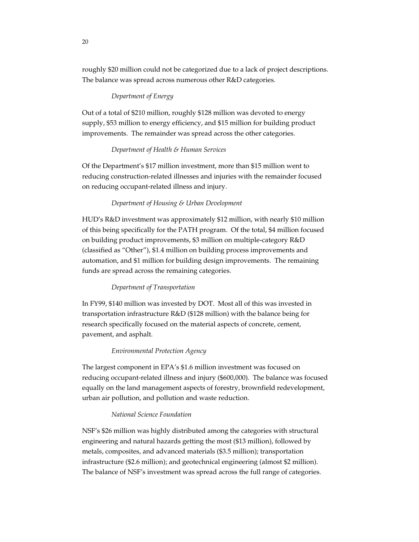roughly \$20 million could not be categorized due to a lack of project descriptions. The balance was spread across numerous other R&D categories.

### *Department of Energy*

Out of a total of \$210 million, roughly \$128 million was devoted to energy supply, \$53 million to energy efficiency, and \$15 million for building product improvements. The remainder was spread across the other categories.

### *Department of Health & Human Services*

Of the Department's \$17 million investment, more than \$15 million went to reducing construction-related illnesses and injuries with the remainder focused on reducing occupant-related illness and injury.

### *Department of Housing & Urban Development*

HUD's R&D investment was approximately \$12 million, with nearly \$10 million of this being specifically for the PATH program. Of the total, \$4 million focused on building product improvements, \$3 million on multiple-category R&D (classified as "Other"), \$1.4 million on building process improvements and automation, and \$1 million for building design improvements. The remaining funds are spread across the remaining categories.

#### *Department of Transportation*

In FY99, \$140 million was invested by DOT. Most all of this was invested in transportation infrastructure R&D (\$128 million) with the balance being for research specifically focused on the material aspects of concrete, cement, pavement, and asphalt.

### *Environmental Protection Agency*

The largest component in EPA's \$1.6 million investment was focused on reducing occupant-related illness and injury (\$600,000). The balance was focused equally on the land management aspects of forestry, brownfield redevelopment, urban air pollution, and pollution and waste reduction.

### *National Science Foundation*

NSF's \$26 million was highly distributed among the categories with structural engineering and natural hazards getting the most (\$13 million), followed by metals, composites, and advanced materials (\$3.5 million); transportation infrastructure (\$2.6 million); and geotechnical engineering (almost \$2 million). The balance of NSF's investment was spread across the full range of categories.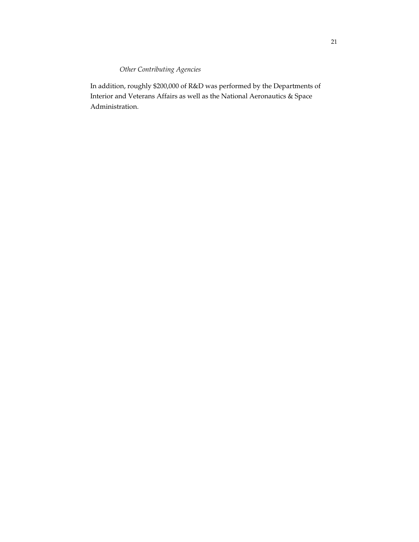### *Other Contributing Agencies*

In addition, roughly \$200,000 of R&D was performed by the Departments of Interior and Veterans Affairs as well as the National Aeronautics & Space Administration.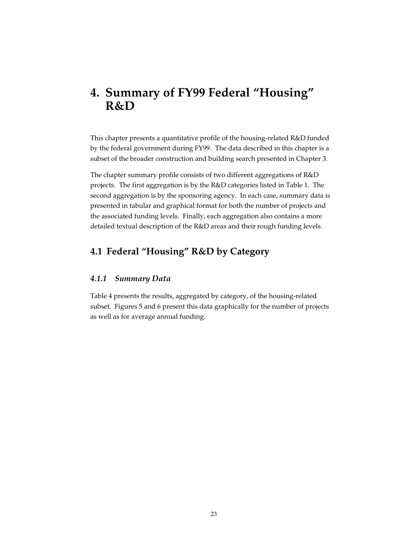# **4. Summary of FY99 Federal "Housing" R&D**

This chapter presents a quantitative profile of the housing-related R&D funded by the federal government during FY99. The data described in this chapter is a subset of the broader construction and building search presented in Chapter 3.

The chapter summary profile consists of two different aggregations of R&D projects. The first aggregation is by the R&D categories listed in Table 1. The second aggregation is by the sponsoring agency. In each case, summary data is presented in tabular and graphical format for both the number of projects and the associated funding levels. Finally, each aggregation also contains a more detailed textual description of the R&D areas and their rough funding levels.

### **4.1 Federal "Housing" R&D by Category**

### *4.1.1 Summary Data*

Table 4 presents the results, aggregated by category, of the housing-related subset. Figures 5 and 6 present this data graphically for the number of projects as well as for average annual funding.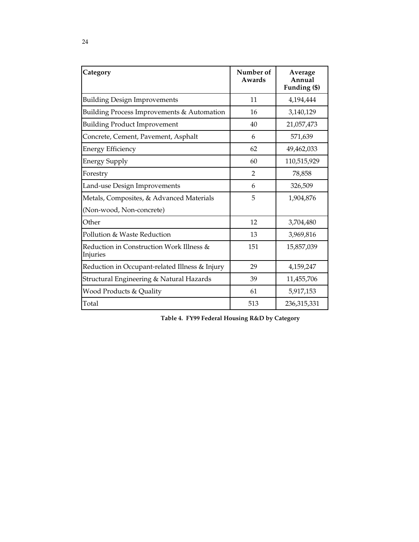| Category                                             | Number of<br>Awards | Average<br>Annual<br>Funding (\$) |
|------------------------------------------------------|---------------------|-----------------------------------|
| <b>Building Design Improvements</b>                  | 11                  | 4,194,444                         |
| Building Process Improvements & Automation           | 16                  | 3,140,129                         |
| <b>Building Product Improvement</b>                  | 40                  | 21,057,473                        |
| Concrete, Cement, Pavement, Asphalt                  | 6                   | 571,639                           |
| <b>Energy Efficiency</b>                             | 62                  | 49,462,033                        |
| <b>Energy Supply</b>                                 | 60                  | 110,515,929                       |
| Forestry                                             | $\overline{2}$      | 78,858                            |
| Land-use Design Improvements                         | 6                   | 326,509                           |
| Metals, Composites, & Advanced Materials             | 5                   | 1,904,876                         |
| (Non-wood, Non-concrete)                             |                     |                                   |
| Other                                                | 12                  | 3,704,480                         |
| Pollution & Waste Reduction                          | 13                  | 3,969,816                         |
| Reduction in Construction Work Illness &<br>Injuries | 151                 | 15,857,039                        |
| Reduction in Occupant-related Illness & Injury       | 29                  | 4,159,247                         |
| Structural Engineering & Natural Hazards             | 39                  | 11,455,706                        |
| Wood Products & Quality                              | 61                  | 5,917,153                         |
| Total                                                | 513                 | 236,315,331                       |

**Table 4. FY99 Federal Housing R&D by Category**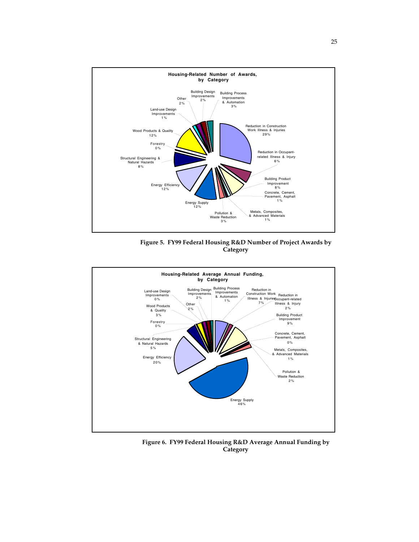

**Figure 5. FY99 Federal Housing R&D Number of Project Awards by Category**



**Figure 6. FY99 Federal Housing R&D Average Annual Funding by Category**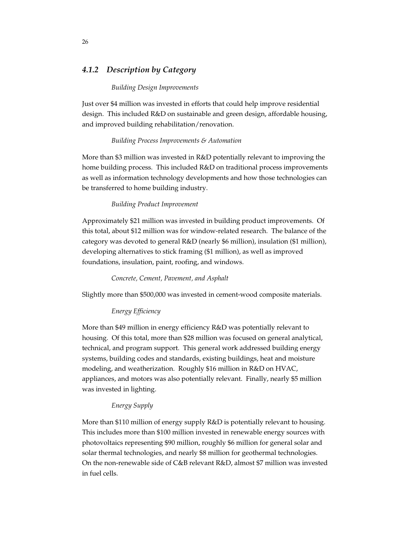### *4.1.2 Description by Category*

#### *Building Design Improvements*

Just over \$4 million was invested in efforts that could help improve residential design. This included R&D on sustainable and green design, affordable housing, and improved building rehabilitation/renovation.

#### *Building Process Improvements & Automation*

More than \$3 million was invested in R&D potentially relevant to improving the home building process. This included R&D on traditional process improvements as well as information technology developments and how those technologies can be transferred to home building industry.

#### *Building Product Improvement*

Approximately \$21 million was invested in building product improvements. Of this total, about \$12 million was for window-related research. The balance of the category was devoted to general R&D (nearly \$6 million), insulation (\$1 million), developing alternatives to stick framing (\$1 million), as well as improved foundations, insulation, paint, roofing, and windows.

### *Concrete, Cement, Pavement, and Asphalt*

Slightly more than \$500,000 was invested in cement-wood composite materials.

### *Energy Efficiency*

More than \$49 million in energy efficiency R&D was potentially relevant to housing. Of this total, more than \$28 million was focused on general analytical, technical, and program support. This general work addressed building energy systems, building codes and standards, existing buildings, heat and moisture modeling, and weatherization. Roughly \$16 million in R&D on HVAC, appliances, and motors was also potentially relevant. Finally, nearly \$5 million was invested in lighting.

### *Energy Supply*

More than \$110 million of energy supply R&D is potentially relevant to housing. This includes more than \$100 million invested in renewable energy sources with photovoltaics representing \$90 million, roughly \$6 million for general solar and solar thermal technologies, and nearly \$8 million for geothermal technologies. On the non-renewable side of C&B relevant R&D, almost \$7 million was invested in fuel cells.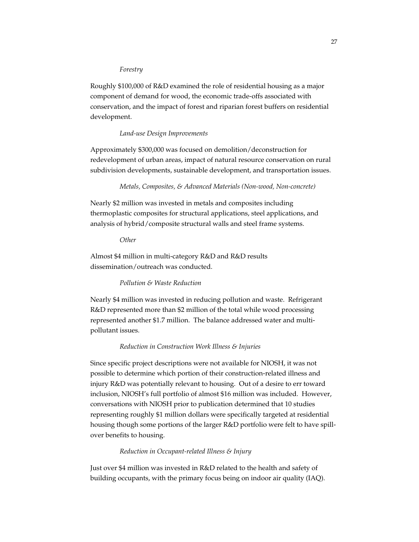#### *Forestry*

Roughly \$100,000 of R&D examined the role of residential housing as a major component of demand for wood, the economic trade-offs associated with conservation, and the impact of forest and riparian forest buffers on residential development.

### *Land-use Design Improvements*

Approximately \$300,000 was focused on demolition/deconstruction for redevelopment of urban areas, impact of natural resource conservation on rural subdivision developments, sustainable development, and transportation issues.

### *Metals, Composites, & Advanced Materials (Non-wood, Non-concrete)*

Nearly \$2 million was invested in metals and composites including thermoplastic composites for structural applications, steel applications, and analysis of hybrid/composite structural walls and steel frame systems.

*Other*

Almost \$4 million in multi-category R&D and R&D results dissemination/outreach was conducted.

### *Pollution & Waste Reduction*

Nearly \$4 million was invested in reducing pollution and waste. Refrigerant R&D represented more than \$2 million of the total while wood processing represented another \$1.7 million. The balance addressed water and multipollutant issues.

### *Reduction in Construction Work Illness & Injuries*

Since specific project descriptions were not available for NIOSH, it was not possible to determine which portion of their construction-related illness and injury R&D was potentially relevant to housing. Out of a desire to err toward inclusion, NIOSH's full portfolio of almost \$16 million was included. However, conversations with NIOSH prior to publication determined that 10 studies representing roughly \$1 million dollars were specifically targeted at residential housing though some portions of the larger R&D portfolio were felt to have spillover benefits to housing.

### *Reduction in Occupant-related Illness & Injury*

Just over \$4 million was invested in R&D related to the health and safety of building occupants, with the primary focus being on indoor air quality (IAQ).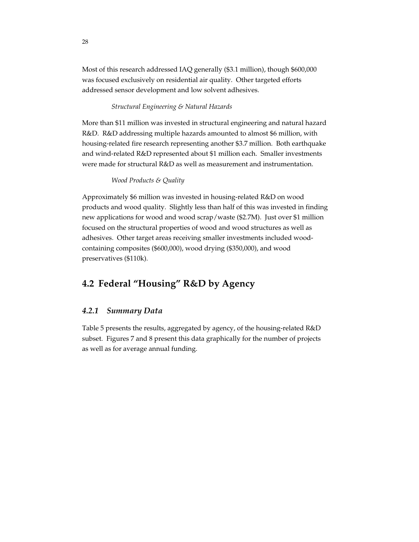Most of this research addressed IAQ generally (\$3.1 million), though \$600,000 was focused exclusively on residential air quality. Other targeted efforts addressed sensor development and low solvent adhesives.

### *Structural Engineering & Natural Hazards*

More than \$11 million was invested in structural engineering and natural hazard R&D. R&D addressing multiple hazards amounted to almost \$6 million, with housing-related fire research representing another \$3.7 million. Both earthquake and wind-related R&D represented about \$1 million each. Smaller investments were made for structural R&D as well as measurement and instrumentation.

#### *Wood Products & Quality*

Approximately \$6 million was invested in housing-related R&D on wood products and wood quality. Slightly less than half of this was invested in finding new applications for wood and wood scrap/waste (\$2.7M). Just over \$1 million focused on the structural properties of wood and wood structures as well as adhesives. Other target areas receiving smaller investments included woodcontaining composites (\$600,000), wood drying (\$350,000), and wood preservatives (\$110k).

### **4.2 Federal "Housing" R&D by Agency**

### *4.2.1 Summary Data*

Table 5 presents the results, aggregated by agency, of the housing-related R&D subset. Figures 7 and 8 present this data graphically for the number of projects as well as for average annual funding.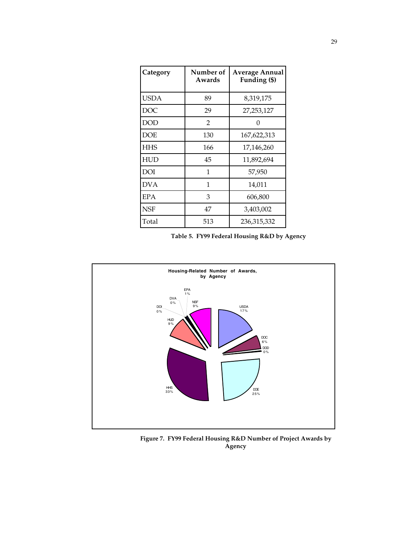| Category   | Number of<br>Awards | <b>Average Annual</b><br>Funding (\$) |
|------------|---------------------|---------------------------------------|
| USDA       | 89                  | 8,319,175                             |
| DOC        | 29                  | 27,253,127                            |
| DOD        | $\overline{2}$      | $\left( \right)$                      |
| DOE        | 130                 | 167,622,313                           |
| <b>HHS</b> | 166                 | 17,146,260                            |
| <b>HUD</b> | 45                  | 11,892,694                            |
| DOI        | 1                   | 57,950                                |
| <b>DVA</b> | 1                   | 14,011                                |
| EPA        | 3                   | 606,800                               |
| <b>NSF</b> | 47                  | 3,403,002                             |
| Total      | 513                 | 236,315,332                           |

|  |  |  | Table 5. FY99 Federal Housing R&D by Agency |  |  |  |  |
|--|--|--|---------------------------------------------|--|--|--|--|
|--|--|--|---------------------------------------------|--|--|--|--|



**Figure 7. FY99 Federal Housing R&D Number of Project Awards by Agency**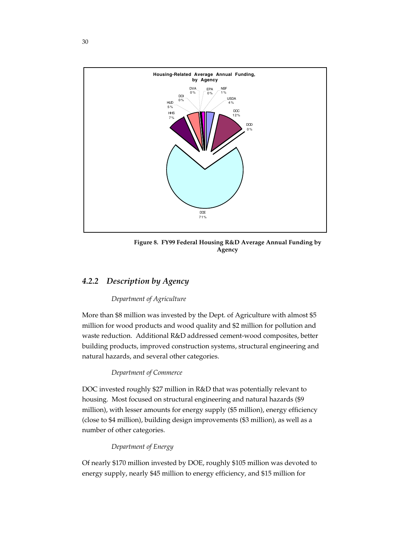

**Figure 8. FY99 Federal Housing R&D Average Annual Funding by Agency**

### *4.2.2 Description by Agency*

### *Department of Agriculture*

More than \$8 million was invested by the Dept. of Agriculture with almost \$5 million for wood products and wood quality and \$2 million for pollution and waste reduction. Additional R&D addressed cement-wood composites, better building products, improved construction systems, structural engineering and natural hazards, and several other categories.

### *Department of Commerce*

DOC invested roughly \$27 million in R&D that was potentially relevant to housing. Most focused on structural engineering and natural hazards (\$9 million), with lesser amounts for energy supply (\$5 million), energy efficiency (close to \$4 million), building design improvements (\$3 million), as well as a number of other categories.

### *Department of Energy*

Of nearly \$170 million invested by DOE, roughly \$105 million was devoted to energy supply, nearly \$45 million to energy efficiency, and \$15 million for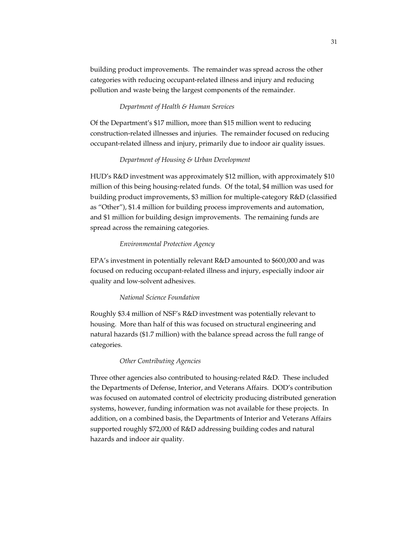building product improvements. The remainder was spread across the other categories with reducing occupant-related illness and injury and reducing pollution and waste being the largest components of the remainder.

### *Department of Health & Human Services*

Of the Department's \$17 million, more than \$15 million went to reducing construction-related illnesses and injuries. The remainder focused on reducing occupant-related illness and injury, primarily due to indoor air quality issues.

### *Department of Housing & Urban Development*

HUD's R&D investment was approximately \$12 million, with approximately \$10 million of this being housing-related funds. Of the total, \$4 million was used for building product improvements, \$3 million for multiple-category R&D (classified as "Other"), \$1.4 million for building process improvements and automation, and \$1 million for building design improvements. The remaining funds are spread across the remaining categories.

### *Environmental Protection Agency*

EPA's investment in potentially relevant R&D amounted to \$600,000 and was focused on reducing occupant-related illness and injury, especially indoor air quality and low-solvent adhesives.

#### *National Science Foundation*

Roughly \$3.4 million of NSF's R&D investment was potentially relevant to housing. More than half of this was focused on structural engineering and natural hazards (\$1.7 million) with the balance spread across the full range of categories.

#### *Other Contributing Agencies*

Three other agencies also contributed to housing-related R&D. These included the Departments of Defense, Interior, and Veterans Affairs. DOD's contribution was focused on automated control of electricity producing distributed generation systems, however, funding information was not available for these projects. In addition, on a combined basis, the Departments of Interior and Veterans Affairs supported roughly \$72,000 of R&D addressing building codes and natural hazards and indoor air quality.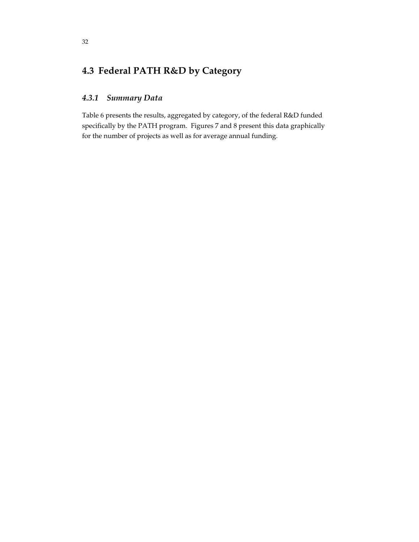## **4.3 Federal PATH R&D by Category**

### *4.3.1 Summary Data*

Table 6 presents the results, aggregated by category, of the federal R&D funded specifically by the PATH program. Figures 7 and 8 present this data graphically for the number of projects as well as for average annual funding.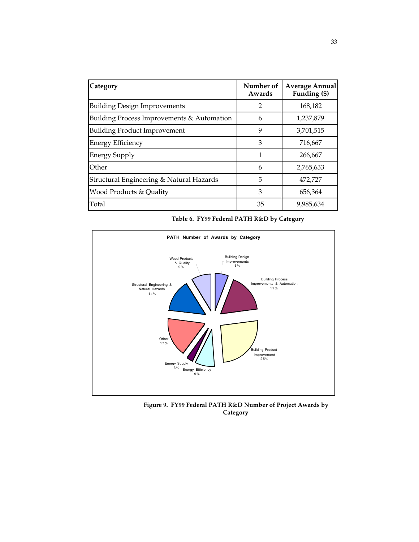| Category                                   | Number of<br>Awards | <b>Average Annual</b><br>Funding (\$) |
|--------------------------------------------|---------------------|---------------------------------------|
| <b>Building Design Improvements</b>        | 2                   | 168,182                               |
| Building Process Improvements & Automation | 6                   | 1,237,879                             |
| <b>Building Product Improvement</b>        | 9                   | 3,701,515                             |
| <b>Energy Efficiency</b>                   | 3                   | 716,667                               |
| <b>Energy Supply</b>                       | 1                   | 266,667                               |
| Other                                      | 6                   | 2,765,633                             |
| Structural Engineering & Natural Hazards   | 5                   | 472,727                               |
| Wood Products & Quality                    | 3                   | 656,364                               |
| Total                                      | 35                  | 9,985,634                             |

|  | Table 6. FY99 Federal PATH R&D by Category |  |  |  |  |
|--|--------------------------------------------|--|--|--|--|
|--|--------------------------------------------|--|--|--|--|



**Figure 9. FY99 Federal PATH R&D Number of Project Awards by Category**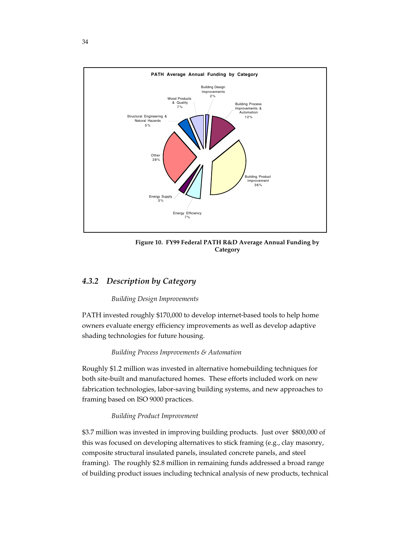

**Figure 10. FY99 Federal PATH R&D Average Annual Funding by Category**

### *4.3.2 Description by Category*

### *Building Design Improvements*

PATH invested roughly \$170,000 to develop internet-based tools to help home owners evaluate energy efficiency improvements as well as develop adaptive shading technologies for future housing.

### *Building Process Improvements & Automation*

Roughly \$1.2 million was invested in alternative homebuilding techniques for both site-built and manufactured homes. These efforts included work on new fabrication technologies, labor-saving building systems, and new approaches to framing based on ISO 9000 practices.

### *Building Product Improvement*

\$3.7 million was invested in improving building products. Just over \$800,000 of this was focused on developing alternatives to stick framing (e.g., clay masonry, composite structural insulated panels, insulated concrete panels, and steel framing). The roughly \$2.8 million in remaining funds addressed a broad range of building product issues including technical analysis of new products, technical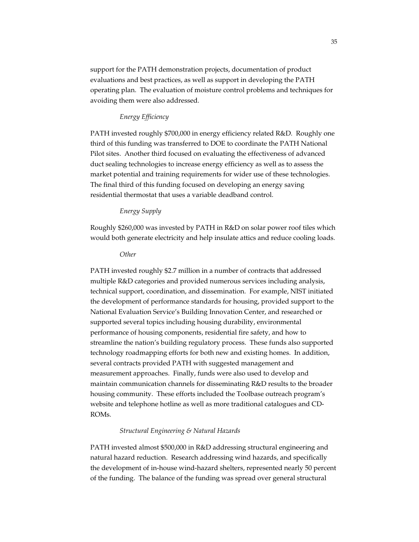support for the PATH demonstration projects, documentation of product evaluations and best practices, as well as support in developing the PATH operating plan. The evaluation of moisture control problems and techniques for avoiding them were also addressed.

### *Energy Efficiency*

PATH invested roughly \$700,000 in energy efficiency related R&D. Roughly one third of this funding was transferred to DOE to coordinate the PATH National Pilot sites. Another third focused on evaluating the effectiveness of advanced duct sealing technologies to increase energy efficiency as well as to assess the market potential and training requirements for wider use of these technologies. The final third of this funding focused on developing an energy saving residential thermostat that uses a variable deadband control.

### *Energy Supply*

Roughly \$260,000 was invested by PATH in R&D on solar power roof tiles which would both generate electricity and help insulate attics and reduce cooling loads.

#### *Other*

PATH invested roughly \$2.7 million in a number of contracts that addressed multiple R&D categories and provided numerous services including analysis, technical support, coordination, and dissemination. For example, NIST initiated the development of performance standards for housing, provided support to the National Evaluation Service's Building Innovation Center, and researched or supported several topics including housing durability, environmental performance of housing components, residential fire safety, and how to streamline the nation's building regulatory process. These funds also supported technology roadmapping efforts for both new and existing homes. In addition, several contracts provided PATH with suggested management and measurement approaches. Finally, funds were also used to develop and maintain communication channels for disseminating R&D results to the broader housing community. These efforts included the Toolbase outreach program's website and telephone hotline as well as more traditional catalogues and CD-ROMs.

#### *Structural Engineering & Natural Hazards*

PATH invested almost \$500,000 in R&D addressing structural engineering and natural hazard reduction. Research addressing wind hazards, and specifically the development of in-house wind-hazard shelters, represented nearly 50 percent of the funding. The balance of the funding was spread over general structural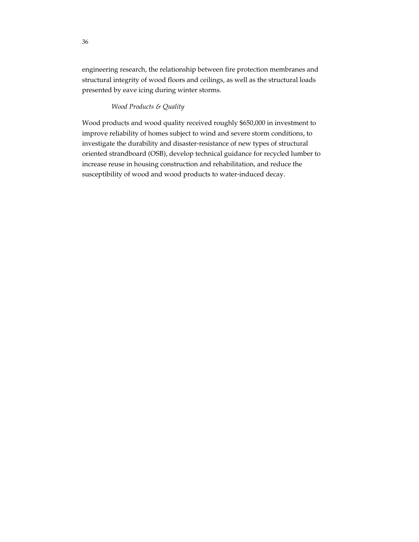engineering research, the relationship between fire protection membranes and structural integrity of wood floors and ceilings, as well as the structural loads presented by eave icing during winter storms.

### *Wood Products & Quality*

Wood products and wood quality received roughly \$650,000 in investment to improve reliability of homes subject to wind and severe storm conditions, to investigate the durability and disaster-resistance of new types of structural oriented strandboard (OSB), develop technical guidance for recycled lumber to increase reuse in housing construction and rehabilitation, and reduce the susceptibility of wood and wood products to water-induced decay.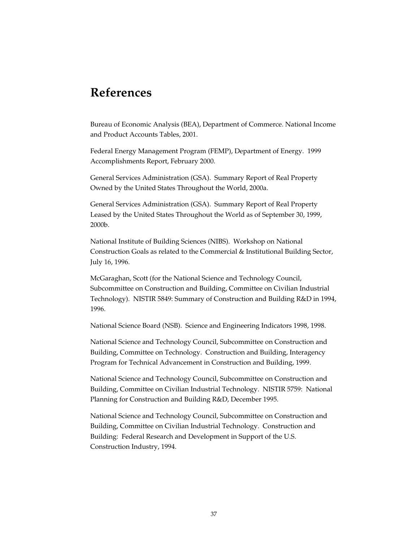# **References**

Bureau of Economic Analysis (BEA), Department of Commerce. National Income and Product Accounts Tables, 2001.

Federal Energy Management Program (FEMP), Department of Energy. 1999 Accomplishments Report, February 2000.

General Services Administration (GSA). Summary Report of Real Property Owned by the United States Throughout the World, 2000a.

General Services Administration (GSA). Summary Report of Real Property Leased by the United States Throughout the World as of September 30, 1999, 2000b.

National Institute of Building Sciences (NIBS). Workshop on National Construction Goals as related to the Commercial & Institutional Building Sector, July 16, 1996.

McGaraghan, Scott (for the National Science and Technology Council, Subcommittee on Construction and Building, Committee on Civilian Industrial Technology). NISTIR 5849: Summary of Construction and Building R&D in 1994, 1996.

National Science Board (NSB). Science and Engineering Indicators 1998, 1998.

National Science and Technology Council, Subcommittee on Construction and Building, Committee on Technology. Construction and Building, Interagency Program for Technical Advancement in Construction and Building, 1999.

National Science and Technology Council, Subcommittee on Construction and Building, Committee on Civilian Industrial Technology. NISTIR 5759: National Planning for Construction and Building R&D, December 1995.

National Science and Technology Council, Subcommittee on Construction and Building, Committee on Civilian Industrial Technology. Construction and Building: Federal Research and Development in Support of the U.S. Construction Industry, 1994.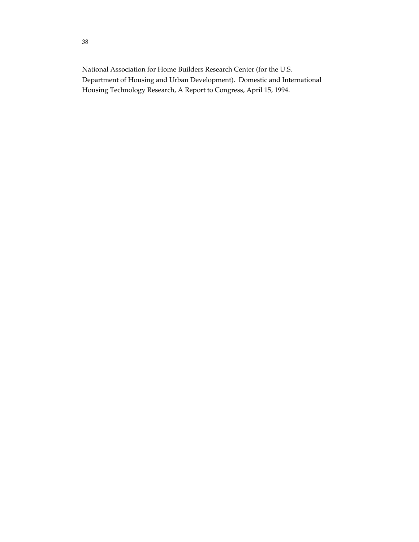National Association for Home Builders Research Center (for the U.S. Department of Housing and Urban Development). Domestic and International Housing Technology Research, A Report to Congress, April 15, 1994.

38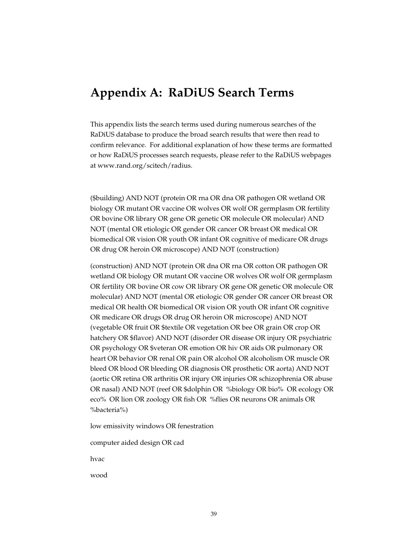## **Appendix A: RaDiUS Search Terms**

This appendix lists the search terms used during numerous searches of the RaDiUS database to produce the broad search results that were then read to confirm relevance. For additional explanation of how these terms are formatted or how RaDiUS processes search requests, please refer to the RaDiUS webpages at www.rand.org/scitech/radius.

(\$building) AND NOT (protein OR rna OR dna OR pathogen OR wetland OR biology OR mutant OR vaccine OR wolves OR wolf OR germplasm OR fertility OR bovine OR library OR gene OR genetic OR molecule OR molecular) AND NOT (mental OR etiologic OR gender OR cancer OR breast OR medical OR biomedical OR vision OR youth OR infant OR cognitive of medicare OR drugs OR drug OR heroin OR microscope) AND NOT (construction)

(construction) AND NOT (protein OR dna OR rna OR cotton OR pathogen OR wetland OR biology OR mutant OR vaccine OR wolves OR wolf OR germplasm OR fertility OR bovine OR cow OR library OR gene OR genetic OR molecule OR molecular) AND NOT (mental OR etiologic OR gender OR cancer OR breast OR medical OR health OR biomedical OR vision OR youth OR infant OR cognitive OR medicare OR drugs OR drug OR heroin OR microscope) AND NOT (vegetable OR fruit OR \$textile OR vegetation OR bee OR grain OR crop OR hatchery OR \$flavor) AND NOT (disorder OR disease OR injury OR psychiatric OR psychology OR \$veteran OR emotion OR hiv OR aids OR pulmonary OR heart OR behavior OR renal OR pain OR alcohol OR alcoholism OR muscle OR bleed OR blood OR bleeding OR diagnosis OR prosthetic OR aorta) AND NOT (aortic OR retina OR arthritis OR injury OR injuries OR schizophrenia OR abuse OR nasal) AND NOT (reef OR \$dolphin OR %biology OR bio% OR ecology OR eco% OR lion OR zoology OR fish OR %flies OR neurons OR animals OR %bacteria%)

low emissivity windows OR fenestration

computer aided design OR cad

hvac

wood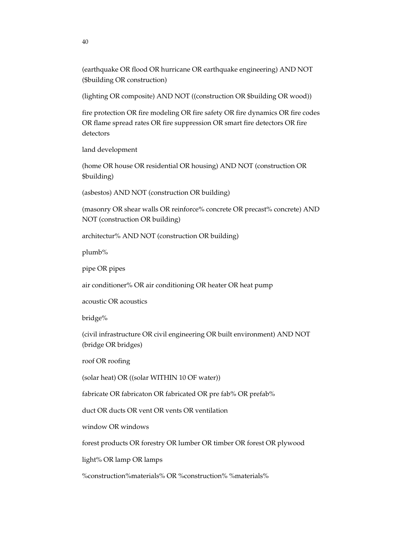(earthquake OR flood OR hurricane OR earthquake engineering) AND NOT (\$building OR construction)

(lighting OR composite) AND NOT ((construction OR \$building OR wood))

fire protection OR fire modeling OR fire safety OR fire dynamics OR fire codes OR flame spread rates OR fire suppression OR smart fire detectors OR fire detectors

land development

(home OR house OR residential OR housing) AND NOT (construction OR \$building)

(asbestos) AND NOT (construction OR building)

(masonry OR shear walls OR reinforce% concrete OR precast% concrete) AND NOT (construction OR building)

architectur% AND NOT (construction OR building)

plumb%

pipe OR pipes

air conditioner% OR air conditioning OR heater OR heat pump

acoustic OR acoustics

bridge%

(civil infrastructure OR civil engineering OR built environment) AND NOT (bridge OR bridges)

roof OR roofing

(solar heat) OR ((solar WITHIN 10 OF water))

fabricate OR fabricaton OR fabricated OR pre fab% OR prefab%

duct OR ducts OR vent OR vents OR ventilation

window OR windows

forest products OR forestry OR lumber OR timber OR forest OR plywood

light% OR lamp OR lamps

%construction%materials% OR %construction% %materials%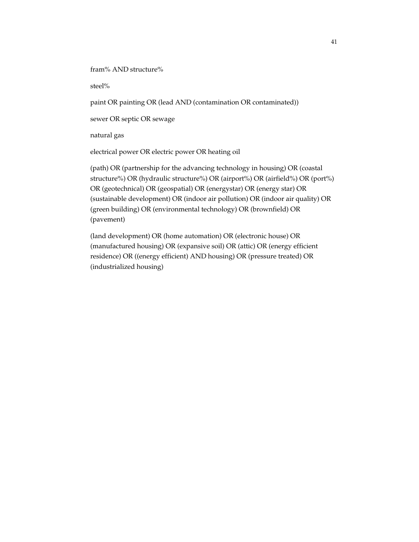fram% AND structure%

steel%

paint OR painting OR (lead AND (contamination OR contaminated))

sewer OR septic OR sewage

natural gas

electrical power OR electric power OR heating oil

(path) OR (partnership for the advancing technology in housing) OR (coastal structure%) OR (hydraulic structure%) OR (airport%) OR (airfield%) OR (port%) OR (geotechnical) OR (geospatial) OR (energystar) OR (energy star) OR (sustainable development) OR (indoor air pollution) OR (indoor air quality) OR (green building) OR (environmental technology) OR (brownfield) OR (pavement)

(land development) OR (home automation) OR (electronic house) OR (manufactured housing) OR (expansive soil) OR (attic) OR (energy efficient residence) OR ((energy efficient) AND housing) OR (pressure treated) OR (industrialized housing)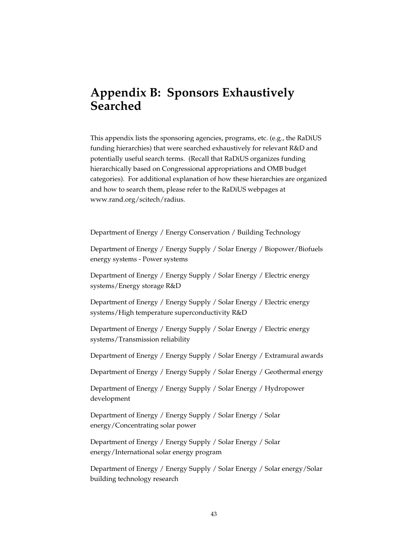## **Appendix B: Sponsors Exhaustively Searched**

This appendix lists the sponsoring agencies, programs, etc. (e.g., the RaDiUS funding hierarchies) that were searched exhaustively for relevant R&D and potentially useful search terms. (Recall that RaDiUS organizes funding hierarchically based on Congressional appropriations and OMB budget categories). For additional explanation of how these hierarchies are organized and how to search them, please refer to the RaDiUS webpages at www.rand.org/scitech/radius.

Department of Energy / Energy Conservation / Building Technology

Department of Energy / Energy Supply / Solar Energy / Biopower/Biofuels energy systems - Power systems

Department of Energy / Energy Supply / Solar Energy / Electric energy systems/Energy storage R&D

Department of Energy / Energy Supply / Solar Energy / Electric energy systems/High temperature superconductivity R&D

Department of Energy / Energy Supply / Solar Energy / Electric energy systems/Transmission reliability

Department of Energy / Energy Supply / Solar Energy / Extramural awards

Department of Energy / Energy Supply / Solar Energy / Geothermal energy

Department of Energy / Energy Supply / Solar Energy / Hydropower development

Department of Energy / Energy Supply / Solar Energy / Solar energy/Concentrating solar power

Department of Energy / Energy Supply / Solar Energy / Solar energy/International solar energy program

Department of Energy / Energy Supply / Solar Energy / Solar energy/Solar building technology research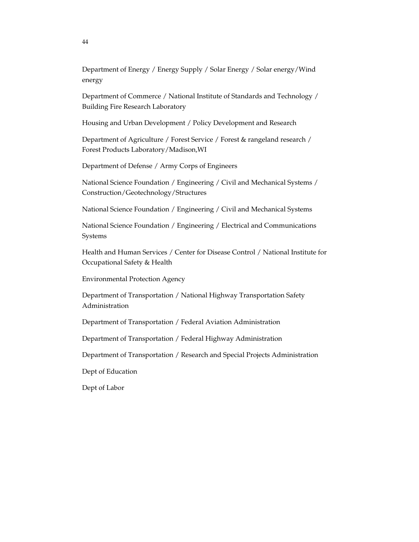Department of Energy / Energy Supply / Solar Energy / Solar energy/Wind energy

Department of Commerce / National Institute of Standards and Technology / Building Fire Research Laboratory

Housing and Urban Development / Policy Development and Research

Department of Agriculture / Forest Service / Forest & rangeland research / Forest Products Laboratory/Madison,WI

Department of Defense / Army Corps of Engineers

National Science Foundation / Engineering / Civil and Mechanical Systems / Construction/Geotechnology/Structures

National Science Foundation / Engineering / Civil and Mechanical Systems

National Science Foundation / Engineering / Electrical and Communications Systems

Health and Human Services / Center for Disease Control / National Institute for Occupational Safety & Health

Environmental Protection Agency

Department of Transportation / National Highway Transportation Safety Administration

Department of Transportation / Federal Aviation Administration

Department of Transportation / Federal Highway Administration

Department of Transportation / Research and Special Projects Administration

Dept of Education

Dept of Labor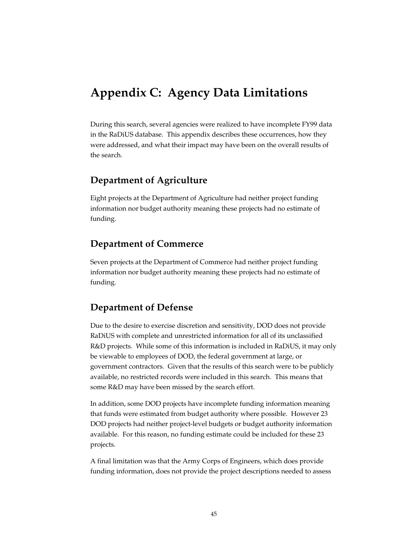# **Appendix C: Agency Data Limitations**

During this search, several agencies were realized to have incomplete FY99 data in the RaDiUS database. This appendix describes these occurrences, how they were addressed, and what their impact may have been on the overall results of the search.

### **Department of Agriculture**

Eight projects at the Department of Agriculture had neither project funding information nor budget authority meaning these projects had no estimate of funding.

### **Department of Commerce**

Seven projects at the Department of Commerce had neither project funding information nor budget authority meaning these projects had no estimate of funding.

### **Department of Defense**

Due to the desire to exercise discretion and sensitivity, DOD does not provide RaDiUS with complete and unrestricted information for all of its unclassified R&D projects. While some of this information is included in RaDiUS, it may only be viewable to employees of DOD, the federal government at large, or government contractors. Given that the results of this search were to be publicly available, no restricted records were included in this search. This means that some R&D may have been missed by the search effort.

In addition, some DOD projects have incomplete funding information meaning that funds were estimated from budget authority where possible. However 23 DOD projects had neither project-level budgets or budget authority information available. For this reason, no funding estimate could be included for these 23 projects.

A final limitation was that the Army Corps of Engineers, which does provide funding information, does not provide the project descriptions needed to assess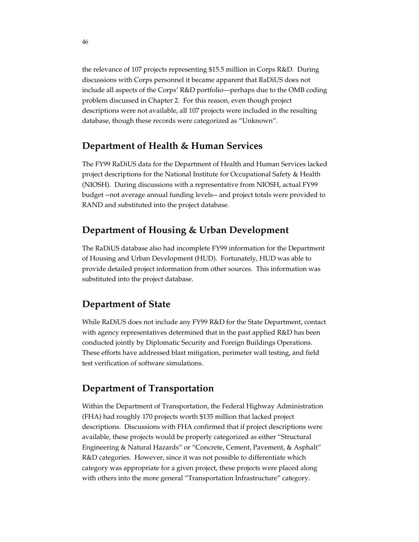the relevance of 107 projects representing \$15.5 million in Corps R&D. During discussions with Corps personnel it became apparent that RaDiUS does not include all aspects of the Corps' R&D portfolio—perhaps due to the OMB coding problem discussed in Chapter 2. For this reason, even though project descriptions were not available, all 107 projects were included in the resulting database, though these records were categorized as "Unknown".

### **Department of Health & Human Services**

The FY99 RaDiUS data for the Department of Health and Human Services lacked project descriptions for the National Institute for Occupational Safety & Health (NIOSH). During discussions with a representative from NIOSH, actual FY99 budget --not average annual funding levels-- and project totals were provided to RAND and substituted into the project database.

### **Department of Housing & Urban Development**

The RaDiUS database also had incomplete FY99 information for the Department of Housing and Urban Development (HUD). Fortunately, HUD was able to provide detailed project information from other sources. This information was substituted into the project database.

### **Department of State**

While RaDiUS does not include any FY99 R&D for the State Department, contact with agency representatives determined that in the past applied R&D has been conducted jointly by Diplomatic Security and Foreign Buildings Operations. These efforts have addressed blast mitigation, perimeter wall testing, and field test verification of software simulations.

### **Department of Transportation**

Within the Department of Transportation, the Federal Highway Administration (FHA) had roughly 170 projects worth \$135 million that lacked project descriptions. Discussions with FHA confirmed that if project descriptions were available, these projects would be properly categorized as either "Structural Engineering & Natural Hazards" or "Concrete, Cement, Pavement, & Asphalt" R&D categories. However, since it was not possible to differentiate which category was appropriate for a given project, these projects were placed along with others into the more general "Transportation Infrastructure" category.